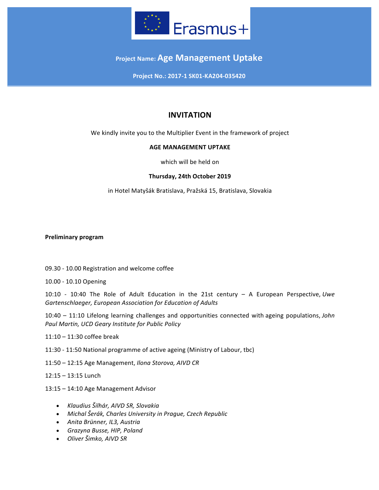

# **Project Name: Age Management Uptake**

**Project No.: 2017-1 SK01-KA204-035420**

### **INVITATION**

We kindly invite you to the Multiplier Event in the framework of project

#### **AGE MANAGEMENT UPTAKE**

which will be held on

### **Thursday, 24th October 2019**

in Hotel Matyšák Bratislava, Pražská 15, Bratislava, Slovakia

**Preliminary program**

09.30 - 10.00 Registration and welcome coffee

10.00 - 10.10 Opening

10:10 - 10:40 The Role of Adult Education in the 21st century - A European Perspective, Uwe Gartenschlaeger, European Association for Education of Adults

10:40 – 11:10 Lifelong learning challenges and opportunities connected with ageing populations, *John Paul Martin, UCD Geary Institute for Public Policy*

 $11:10 - 11:30$  coffee break

- 11:30 11:50 National programme of active ageing (Ministry of Labour, tbc)
- 11:50 – 12:15 Age Management, *Ilona Storova, AIVD CR*

 $12:15 - 13:15$  Lunch

 $13:15 - 14:10$  Age Management Advisor

- *Klaudius Šilhár, AIVD SR, Slovakia*
- *Michal Šerák, Charles University in Prague, Czech Republic*
- *Anita Brünner, IL3, Austria*
- *Grazyna Busse, HIP, Poland*
- *Oliver Šimko, AIVD SR*